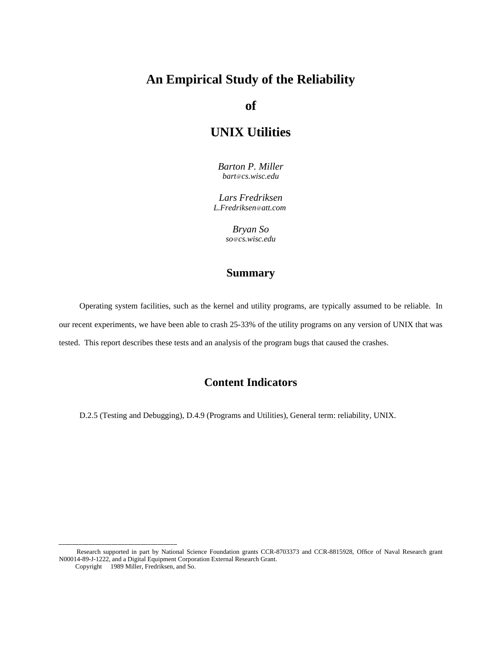# **An Empirical Study of the Reliability**

**of**

# **UNIX Utilities**

*Barton P. Miller bart@cs.wisc.edu*

*Lars Fredriksen L.Fredriksen@att.com*

> *Bryan So so@cs.wisc.edu*

# **Summary**

Operating system facilities, such as the kernel and utility programs, are typically assumed to be reliable. In our recent experiments, we have been able to crash 25-33% of the utility programs on any version of UNIX that was tested. This report describes these tests and an analysis of the program bugs that caused the crashes.

# **Content Indicators**

D.2.5 (Testing and Debugging), D.4.9 (Programs and Utilities), General term: reliability, UNIX.

Research supported in part by National Science Foundation grants CCR-8703373 and CCR-8815928, Office of Naval Research grant N00014-89-J-1222, and a Digital Equipment Corporation External Research Grant.

Copyright © 1989 Miller, Fredriksen, and So.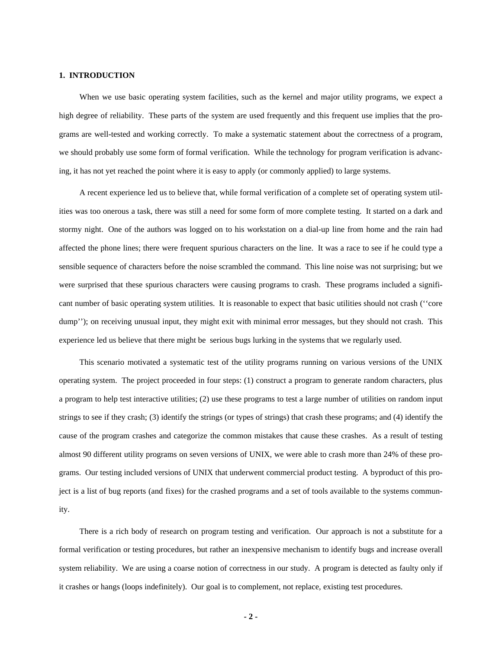#### **1. INTRODUCTION**

When we use basic operating system facilities, such as the kernel and major utility programs, we expect a high degree of reliability. These parts of the system are used frequently and this frequent use implies that the programs are well-tested and working correctly. To make a systematic statement about the correctness of a program, we should probably use some form of formal verification. While the technology for program verification is advancing, it has not yet reached the point where it is easy to apply (or commonly applied) to large systems.

A recent experience led us to believe that, while formal verification of a complete set of operating system utilities was too onerous a task, there was still a need for some form of more complete testing. It started on a dark and stormy night. One of the authors was logged on to his workstation on a dial-up line from home and the rain had affected the phone lines; there were frequent spurious characters on the line. It was a race to see if he could type a sensible sequence of characters before the noise scrambled the command. This line noise was not surprising; but we were surprised that these spurious characters were causing programs to crash. These programs included a significant number of basic operating system utilities. It is reasonable to expect that basic utilities should not crash (''core dump''); on receiving unusual input, they might exit with minimal error messages, but they should not crash. This experience led us believe that there might be serious bugs lurking in the systems that we regularly used.

This scenario motivated a systematic test of the utility programs running on various versions of the UNIX operating system. The project proceeded in four steps: (1) construct a program to generate random characters, plus a program to help test interactive utilities; (2) use these programs to test a large number of utilities on random input strings to see if they crash; (3) identify the strings (or types of strings) that crash these programs; and (4) identify the cause of the program crashes and categorize the common mistakes that cause these crashes. As a result of testing almost 90 different utility programs on seven versions of UNIX, we were able to crash more than 24% of these programs. Our testing included versions of UNIX that underwent commercial product testing. A byproduct of this project is a list of bug reports (and fixes) for the crashed programs and a set of tools available to the systems community.

There is a rich body of research on program testing and verification. Our approach is not a substitute for a formal verification or testing procedures, but rather an inexpensive mechanism to identify bugs and increase overall system reliability. We are using a coarse notion of correctness in our study. A program is detected as faulty only if it crashes or hangs (loops indefinitely). Our goal is to complement, not replace, existing test procedures.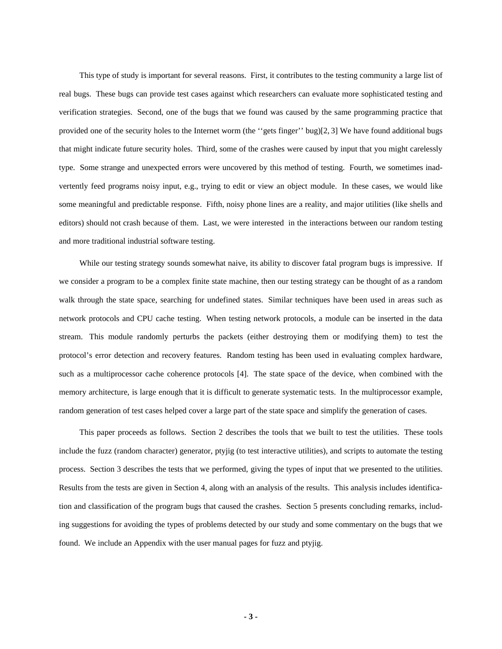This type of study is important for several reasons. First, it contributes to the testing community a large list of real bugs. These bugs can provide test cases against which researchers can evaluate more sophisticated testing and verification strategies. Second, one of the bugs that we found was caused by the same programming practice that provided one of the security holes to the Internet worm (the ''gets finger'' bug)[2, 3] We have found additional bugs that might indicate future security holes. Third, some of the crashes were caused by input that you might carelessly type. Some strange and unexpected errors were uncovered by this method of testing. Fourth, we sometimes inadvertently feed programs noisy input, e.g., trying to edit or view an object module. In these cases, we would like some meaningful and predictable response. Fifth, noisy phone lines are a reality, and major utilities (like shells and editors) should not crash because of them. Last, we were interested in the interactions between our random testing and more traditional industrial software testing.

While our testing strategy sounds somewhat naive, its ability to discover fatal program bugs is impressive. If we consider a program to be a complex finite state machine, then our testing strategy can be thought of as a random walk through the state space, searching for undefined states. Similar techniques have been used in areas such as network protocols and CPU cache testing. When testing network protocols, a module can be inserted in the data stream. This module randomly perturbs the packets (either destroying them or modifying them) to test the protocol's error detection and recovery features. Random testing has been used in evaluating complex hardware, such as a multiprocessor cache coherence protocols [4]. The state space of the device, when combined with the memory architecture, is large enough that it is difficult to generate systematic tests. In the multiprocessor example, random generation of test cases helped cover a large part of the state space and simplify the generation of cases.

This paper proceeds as follows. Section 2 describes the tools that we built to test the utilities. These tools include the fuzz (random character) generator, ptyjig (to test interactive utilities), and scripts to automate the testing process. Section 3 describes the tests that we performed, giving the types of input that we presented to the utilities. Results from the tests are given in Section 4, along with an analysis of the results. This analysis includes identification and classification of the program bugs that caused the crashes. Section 5 presents concluding remarks, including suggestions for avoiding the types of problems detected by our study and some commentary on the bugs that we found. We include an Appendix with the user manual pages for fuzz and ptyjig.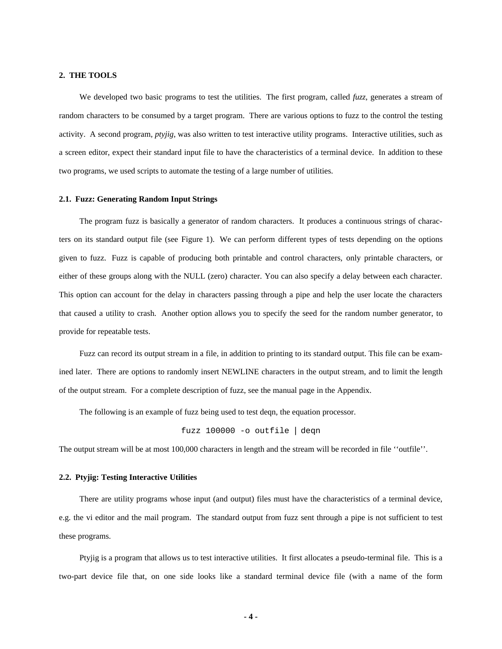#### **2. THE TOOLS**

We developed two basic programs to test the utilities. The first program, called *fuzz*, generates a stream of random characters to be consumed by a target program. There are various options to fuzz to the control the testing activity. A second program, *ptyjig*, was also written to test interactive utility programs. Interactive utilities, such as a screen editor, expect their standard input file to have the characteristics of a terminal device. In addition to these two programs, we used scripts to automate the testing of a large number of utilities.

# **2.1. Fuzz: Generating Random Input Strings**

The program fuzz is basically a generator of random characters. It produces a continuous strings of characters on its standard output file (see Figure 1). We can perform different types of tests depending on the options given to fuzz. Fuzz is capable of producing both printable and control characters, only printable characters, or either of these groups along with the NULL (zero) character. You can also specify a delay between each character. This option can account for the delay in characters passing through a pipe and help the user locate the characters that caused a utility to crash. Another option allows you to specify the seed for the random number generator, to provide for repeatable tests.

Fuzz can record its output stream in a file, in addition to printing to its standard output. This file can be examined later. There are options to randomly insert NEWLINE characters in the output stream, and to limit the length of the output stream. For a complete description of fuzz, see the manual page in the Appendix.

The following is an example of fuzz being used to test deqn, the equation processor.

fuzz 100000 -o outfile | deqn

The output stream will be at most 100,000 characters in length and the stream will be recorded in file ''outfile''.

# **2.2. Ptyjig: Testing Interactive Utilities**

There are utility programs whose input (and output) files must have the characteristics of a terminal device, e.g. the vi editor and the mail program. The standard output from fuzz sent through a pipe is not sufficient to test these programs.

Ptyjig is a program that allows us to test interactive utilities. It first allocates a pseudo-terminal file. This is a two-part device file that, on one side looks like a standard terminal device file (with a name of the form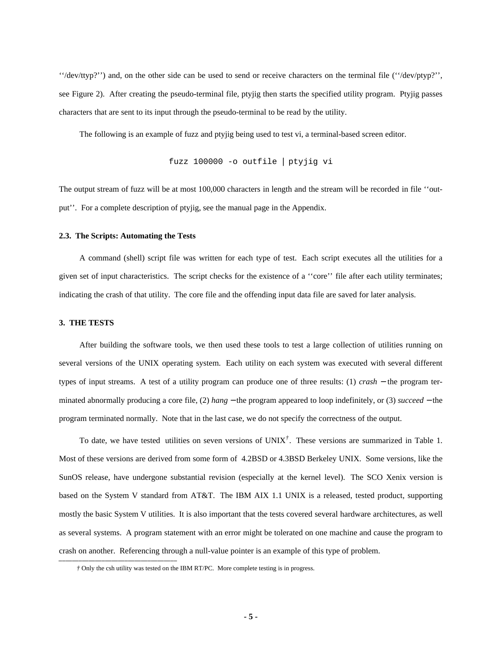''/dev/ttyp?'') and, on the other side can be used to send or receive characters on the terminal file (''/dev/ptyp?'', see Figure 2). After creating the pseudo-terminal file, ptyjig then starts the specified utility program. Ptyjig passes characters that are sent to its input through the pseudo-terminal to be read by the utility.

The following is an example of fuzz and ptyjig being used to test vi, a terminal-based screen editor.

fuzz 100000 -o outfile | ptyjig vi

The output stream of fuzz will be at most 100,000 characters in length and the stream will be recorded in file ''output''. For a complete description of ptyjig, see the manual page in the Appendix.

#### **2.3. The Scripts: Automating the Tests**

A command (shell) script file was written for each type of test. Each script executes all the utilities for a given set of input characteristics. The script checks for the existence of a ''core'' file after each utility terminates; indicating the crash of that utility. The core file and the offending input data file are saved for later analysis.

# **3. THE TESTS**

-----------

After building the software tools, we then used these tools to test a large collection of utilities running on several versions of the UNIX operating system. Each utility on each system was executed with several different types of input streams. A test of a utility program can produce one of three results: (1) *crash* − the program terminated abnormally producing a core file, (2) *hang* − the program appeared to loop indefinitely, or (3) *succeed* − the program terminated normally. Note that in the last case, we do not specify the correctness of the output.

To date, we have tested utilities on seven versions of UNIX*†* . These versions are summarized in Table 1. Most of these versions are derived from some form of 4.2BSD or 4.3BSD Berkeley UNIX. Some versions, like the SunOS release, have undergone substantial revision (especially at the kernel level). The SCO Xenix version is based on the System V standard from AT&T. The IBM AIX 1.1 UNIX is a released, tested product, supporting mostly the basic System V utilities. It is also important that the tests covered several hardware architectures, as well as several systems. A program statement with an error might be tolerated on one machine and cause the program to crash on another. Referencing through a null-value pointer is an example of this type of problem.

*<sup>†</sup>* Only the csh utility was tested on the IBM RT/PC. More complete testing is in progress.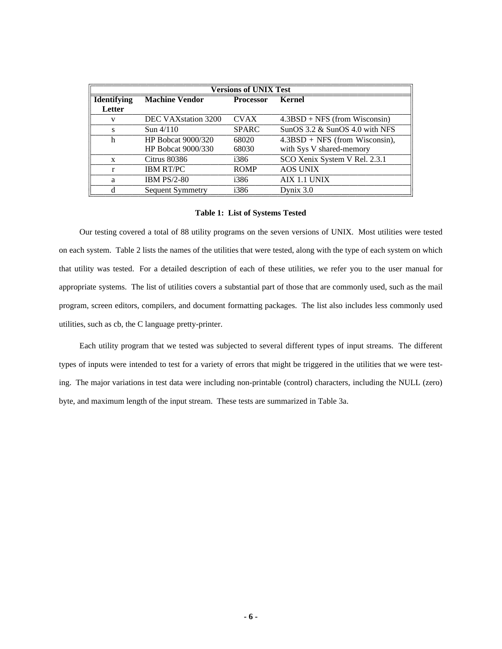| <b>Versions of UNIX Test</b> |                                                     |              |                                     |  |  |  |  |
|------------------------------|-----------------------------------------------------|--------------|-------------------------------------|--|--|--|--|
| <b>Identifying</b>           | <b>Machine Vendor</b><br>Kernel<br><b>Processor</b> |              |                                     |  |  |  |  |
| Letter                       |                                                     |              |                                     |  |  |  |  |
| v                            | DEC VAX station 3200                                | <b>CVAX</b>  | $4.3BSD + NFS$ (from Wisconsin)     |  |  |  |  |
| s                            | $Sun\,4/110$                                        | <b>SPARC</b> | SunOS $3.2 \&$ SunOS $4.0$ with NFS |  |  |  |  |
| h                            | <b>HP Bobcat 9000/320</b>                           | 68020        | $4.3BSD + NFS$ (from Wisconsin),    |  |  |  |  |
|                              | HP Bobcat $9000/330$                                | 68030        | with Sys V shared-memory            |  |  |  |  |
| X                            | Citrus 80386                                        | i386         | SCO Xenix System V Rel. 2.3.1       |  |  |  |  |
| r                            | <b>IBM RT/PC</b>                                    | <b>ROMP</b>  | <b>AOS UNIX</b>                     |  |  |  |  |
| a                            | <b>IBM PS/2-80</b>                                  | i386         | AIX 1.1 UNIX                        |  |  |  |  |
| d                            | Sequent Symmetry                                    | i386         | Dynix $3.0$                         |  |  |  |  |

# **Table 1: List of Systems Tested**

Our testing covered a total of 88 utility programs on the seven versions of UNIX. Most utilities were tested on each system. Table 2 lists the names of the utilities that were tested, along with the type of each system on which that utility was tested. For a detailed description of each of these utilities, we refer you to the user manual for appropriate systems. The list of utilities covers a substantial part of those that are commonly used, such as the mail program, screen editors, compilers, and document formatting packages. The list also includes less commonly used utilities, such as cb, the C language pretty-printer.

Each utility program that we tested was subjected to several different types of input streams. The different types of inputs were intended to test for a variety of errors that might be triggered in the utilities that we were testing. The major variations in test data were including non-printable (control) characters, including the NULL (zero) byte, and maximum length of the input stream. These tests are summarized in Table 3a.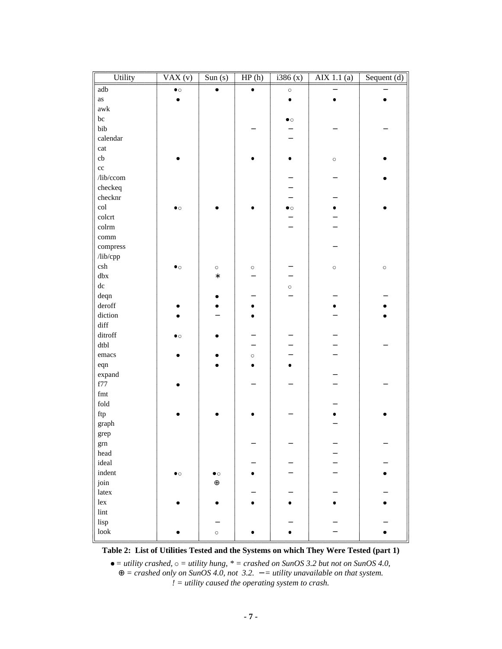| Utility                | $\overline{VAX(v)}$ | $\overline{\text{Sun (s)}}$ | HP(h)     | $\frac{1386}{x}$ | $\overline{AIX}$ 1.1 (a) | Sequent $(d)$ |
|------------------------|---------------------|-----------------------------|-----------|------------------|--------------------------|---------------|
| adb                    | $\bullet$ o         | $\bullet$                   | $\bullet$ | $\circ$          |                          |               |
| $\mathbf{a}\mathbf{s}$ | $\bullet$           |                             |           | $\bullet$        | $\bullet$                | $\bullet$     |
| $\mathbf{awk}$         |                     |                             |           |                  |                          |               |
| $\rm bc$               |                     |                             |           | $\bullet$ o      |                          |               |
| bib                    |                     |                             |           | —                |                          |               |
| calendar               |                     |                             |           | —                |                          |               |
| cat                    |                     |                             |           |                  |                          |               |
| $\mathbf{c}\mathbf{b}$ |                     |                             |           | $\bullet$        | $\circ$                  |               |
| $_{\rm cc}$            |                     |                             |           |                  |                          |               |
| /lib/ccom              |                     |                             |           | -                |                          |               |
| checkeq                |                     |                             |           |                  |                          |               |
| checknr                |                     |                             |           | -                |                          |               |
| $_{\rm col}$           | $\bullet$ $\circ$   |                             |           | $\bullet$ o      | ۰                        |               |
| colcrt                 |                     |                             |           | -                |                          |               |
| colrm                  |                     |                             |           | —                |                          |               |
| comm                   |                     |                             |           |                  |                          |               |
| compress               |                     |                             |           |                  |                          |               |
| /lib/cpp               |                     |                             |           |                  |                          |               |
| $\operatorname{csh}$   | $\bullet$ o         | $\circ$                     | $\circ$   | -                | $\circ$                  | $\circ$       |
| dbx                    |                     | $\ast$                      |           | -                |                          |               |
| ${\rm d} {\rm c}$      |                     |                             |           | $\circ$          |                          |               |
| deqn                   |                     | ۰                           |           |                  |                          |               |
| deroff                 |                     | $\bullet$                   | ٠         |                  |                          |               |
| diction                |                     |                             | $\bullet$ |                  |                          |               |
| diff                   |                     |                             |           |                  |                          |               |
| ditroff                | $\bullet$ o         | ٠                           |           | -                |                          |               |
| dtbl                   |                     |                             | —         | —                |                          |               |
| emacs                  |                     |                             | $\circ$   | —                |                          |               |
| eqn                    |                     |                             | $\bullet$ | ٠                |                          |               |
| expand                 |                     |                             |           |                  |                          |               |
| f77                    |                     |                             |           |                  |                          |               |
| $\operatorname{fmt}$   |                     |                             |           |                  |                          |               |
| $\operatorname{fold}$  |                     |                             |           |                  |                          |               |
| $\operatorname{ftp}$   |                     |                             |           |                  |                          |               |
| graph                  |                     |                             |           |                  |                          |               |
| grep                   |                     |                             |           |                  |                          |               |
| grn                    |                     |                             |           | —                |                          |               |
| head                   |                     |                             |           |                  |                          |               |
| ideal                  |                     |                             |           | -                |                          |               |
| indent                 | $\bullet$           | $\bullet$ $\circ$           | ٠         | —                |                          | $\bullet$     |
| join                   |                     | $\oplus$                    |           |                  |                          |               |
| latex                  |                     |                             | -         |                  |                          |               |
| lex                    |                     | $\bullet$                   | $\bullet$ | $\bullet$        |                          | ٠             |
| $\mathop{\text{lint}}$ |                     |                             |           |                  |                          |               |
| lisp                   |                     | —                           |           |                  |                          |               |
| $\rm look$             |                     | $\circ$                     | ٠         | ٠                |                          | $\bullet$     |
|                        |                     |                             |           |                  |                          |               |

**Table 2: List of Utilities Tested and the Systems on which They Were Tested (part 1)**

 $\bullet$  = *utility crashed*,  $\circ$  = *utility hung*,  $*$  = *crashed on SunOS* 3.2 *but not on SunOS* 4.0, ⊕ *= crashed only on SunOS 4.0, not 3.2.* − *= utility unavailable on that system. ! = utility caused the operating system to crash.*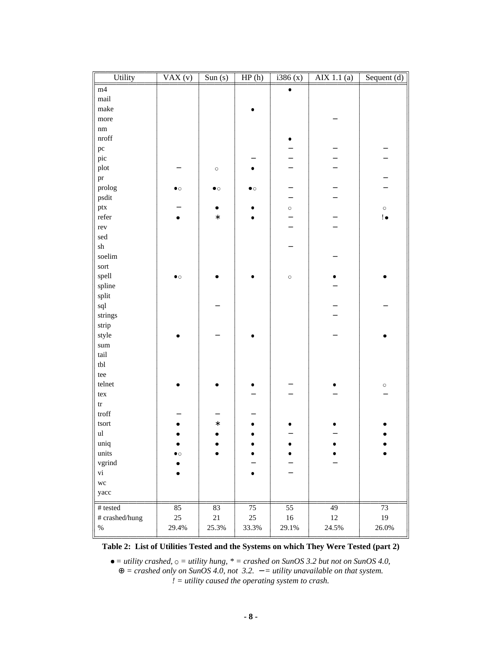| m4<br>$\bullet$<br>mail<br>make<br>more<br>$\rm{nm}$<br>$\operatorname{nroff}$<br>۰<br>$\rm pc$<br>pic<br>plot<br>$\circ$<br>٠<br>$\operatorname{pr}$<br>prolog<br>$\bullet$ $\circ$<br>$\bullet$ $\circ$<br>$\bullet$ $\circ$<br>psdit<br>-<br>ptx<br>$\circ$<br>$\bullet$<br>$\bullet$<br>$\circ$<br>refer<br>$\mathsf{!}\,\bullet$<br>$\ast$<br>$\bullet$<br>$\bullet$<br>—<br>rev<br>$\rm{sed}$<br>${\rm sh}$<br>soelim<br>sort<br>spell<br>$\bullet$ $\circ$<br>$\circ$<br>spline<br>split<br>sql<br>strings<br>strip<br>style<br>$\operatorname{sum}$<br>tail<br>tbl<br>tee<br>telnet<br>$\circ$<br>$\operatorname{tex}$<br>$\mathop{\mathrm{tr}}$<br>$\operatorname*{troff}$<br>tsort<br>$\ast$<br>۰<br>$\mathbf{u}\mathbf{l}$<br>uniq<br>units<br>$\bullet$ $\circ$ | Utility | $\overline{VAX(v)}$ | $\overline{\text{Sun (s)}}$ | HP(h) | 1386(x) | $\overline{AIX}$ 1.1 $(a)$ | Sequent $(d)$ |
|-----------------------------------------------------------------------------------------------------------------------------------------------------------------------------------------------------------------------------------------------------------------------------------------------------------------------------------------------------------------------------------------------------------------------------------------------------------------------------------------------------------------------------------------------------------------------------------------------------------------------------------------------------------------------------------------------------------------------------------------------------------------------------|---------|---------------------|-----------------------------|-------|---------|----------------------------|---------------|
|                                                                                                                                                                                                                                                                                                                                                                                                                                                                                                                                                                                                                                                                                                                                                                             |         |                     |                             |       |         |                            |               |
|                                                                                                                                                                                                                                                                                                                                                                                                                                                                                                                                                                                                                                                                                                                                                                             |         |                     |                             |       |         |                            |               |
|                                                                                                                                                                                                                                                                                                                                                                                                                                                                                                                                                                                                                                                                                                                                                                             |         |                     |                             |       |         |                            |               |
|                                                                                                                                                                                                                                                                                                                                                                                                                                                                                                                                                                                                                                                                                                                                                                             |         |                     |                             |       |         |                            |               |
|                                                                                                                                                                                                                                                                                                                                                                                                                                                                                                                                                                                                                                                                                                                                                                             |         |                     |                             |       |         |                            |               |
|                                                                                                                                                                                                                                                                                                                                                                                                                                                                                                                                                                                                                                                                                                                                                                             |         |                     |                             |       |         |                            |               |
|                                                                                                                                                                                                                                                                                                                                                                                                                                                                                                                                                                                                                                                                                                                                                                             |         |                     |                             |       |         |                            |               |
|                                                                                                                                                                                                                                                                                                                                                                                                                                                                                                                                                                                                                                                                                                                                                                             |         |                     |                             |       |         |                            |               |
|                                                                                                                                                                                                                                                                                                                                                                                                                                                                                                                                                                                                                                                                                                                                                                             |         |                     |                             |       |         |                            |               |
|                                                                                                                                                                                                                                                                                                                                                                                                                                                                                                                                                                                                                                                                                                                                                                             |         |                     |                             |       |         |                            |               |
|                                                                                                                                                                                                                                                                                                                                                                                                                                                                                                                                                                                                                                                                                                                                                                             |         |                     |                             |       |         |                            |               |
|                                                                                                                                                                                                                                                                                                                                                                                                                                                                                                                                                                                                                                                                                                                                                                             |         |                     |                             |       |         |                            |               |
|                                                                                                                                                                                                                                                                                                                                                                                                                                                                                                                                                                                                                                                                                                                                                                             |         |                     |                             |       |         |                            |               |
|                                                                                                                                                                                                                                                                                                                                                                                                                                                                                                                                                                                                                                                                                                                                                                             |         |                     |                             |       |         |                            |               |
|                                                                                                                                                                                                                                                                                                                                                                                                                                                                                                                                                                                                                                                                                                                                                                             |         |                     |                             |       |         |                            |               |
|                                                                                                                                                                                                                                                                                                                                                                                                                                                                                                                                                                                                                                                                                                                                                                             |         |                     |                             |       |         |                            |               |
|                                                                                                                                                                                                                                                                                                                                                                                                                                                                                                                                                                                                                                                                                                                                                                             |         |                     |                             |       |         |                            |               |
|                                                                                                                                                                                                                                                                                                                                                                                                                                                                                                                                                                                                                                                                                                                                                                             |         |                     |                             |       |         |                            |               |
|                                                                                                                                                                                                                                                                                                                                                                                                                                                                                                                                                                                                                                                                                                                                                                             |         |                     |                             |       |         |                            |               |
|                                                                                                                                                                                                                                                                                                                                                                                                                                                                                                                                                                                                                                                                                                                                                                             |         |                     |                             |       |         |                            |               |
|                                                                                                                                                                                                                                                                                                                                                                                                                                                                                                                                                                                                                                                                                                                                                                             |         |                     |                             |       |         |                            |               |
|                                                                                                                                                                                                                                                                                                                                                                                                                                                                                                                                                                                                                                                                                                                                                                             |         |                     |                             |       |         |                            |               |
|                                                                                                                                                                                                                                                                                                                                                                                                                                                                                                                                                                                                                                                                                                                                                                             |         |                     |                             |       |         |                            |               |
|                                                                                                                                                                                                                                                                                                                                                                                                                                                                                                                                                                                                                                                                                                                                                                             |         |                     |                             |       |         |                            |               |
|                                                                                                                                                                                                                                                                                                                                                                                                                                                                                                                                                                                                                                                                                                                                                                             |         |                     |                             |       |         |                            |               |
|                                                                                                                                                                                                                                                                                                                                                                                                                                                                                                                                                                                                                                                                                                                                                                             |         |                     |                             |       |         |                            |               |
|                                                                                                                                                                                                                                                                                                                                                                                                                                                                                                                                                                                                                                                                                                                                                                             |         |                     |                             |       |         |                            |               |
|                                                                                                                                                                                                                                                                                                                                                                                                                                                                                                                                                                                                                                                                                                                                                                             |         |                     |                             |       |         |                            |               |
|                                                                                                                                                                                                                                                                                                                                                                                                                                                                                                                                                                                                                                                                                                                                                                             |         |                     |                             |       |         |                            |               |
|                                                                                                                                                                                                                                                                                                                                                                                                                                                                                                                                                                                                                                                                                                                                                                             |         |                     |                             |       |         |                            |               |
|                                                                                                                                                                                                                                                                                                                                                                                                                                                                                                                                                                                                                                                                                                                                                                             |         |                     |                             |       |         |                            |               |
|                                                                                                                                                                                                                                                                                                                                                                                                                                                                                                                                                                                                                                                                                                                                                                             |         |                     |                             |       |         |                            |               |
|                                                                                                                                                                                                                                                                                                                                                                                                                                                                                                                                                                                                                                                                                                                                                                             |         |                     |                             |       |         |                            |               |
|                                                                                                                                                                                                                                                                                                                                                                                                                                                                                                                                                                                                                                                                                                                                                                             |         |                     |                             |       |         |                            |               |
|                                                                                                                                                                                                                                                                                                                                                                                                                                                                                                                                                                                                                                                                                                                                                                             |         |                     |                             |       |         |                            |               |
|                                                                                                                                                                                                                                                                                                                                                                                                                                                                                                                                                                                                                                                                                                                                                                             |         |                     |                             |       |         |                            |               |
|                                                                                                                                                                                                                                                                                                                                                                                                                                                                                                                                                                                                                                                                                                                                                                             |         |                     |                             |       |         |                            |               |
|                                                                                                                                                                                                                                                                                                                                                                                                                                                                                                                                                                                                                                                                                                                                                                             |         |                     |                             |       |         |                            |               |
| vgrind                                                                                                                                                                                                                                                                                                                                                                                                                                                                                                                                                                                                                                                                                                                                                                      |         |                     |                             |       |         |                            |               |
| ${\rm vi}$<br>$\bullet$                                                                                                                                                                                                                                                                                                                                                                                                                                                                                                                                                                                                                                                                                                                                                     |         |                     |                             |       |         |                            |               |
| $\rm wc$                                                                                                                                                                                                                                                                                                                                                                                                                                                                                                                                                                                                                                                                                                                                                                    |         |                     |                             |       |         |                            |               |
| yacc                                                                                                                                                                                                                                                                                                                                                                                                                                                                                                                                                                                                                                                                                                                                                                        |         |                     |                             |       |         |                            |               |
| $\overline{85}$<br>$\overline{55}$<br>$\overline{49}$<br>$\#$ tested<br>83<br>$75\,$<br>$73\,$                                                                                                                                                                                                                                                                                                                                                                                                                                                                                                                                                                                                                                                                              |         |                     |                             |       |         |                            |               |
| # crashed/hung<br>$25\,$<br>$21\,$<br>$25\,$<br>$16\,$<br>12<br>$19\,$                                                                                                                                                                                                                                                                                                                                                                                                                                                                                                                                                                                                                                                                                                      |         |                     |                             |       |         |                            |               |
| $\%$<br>29.4%<br>25.3%<br>33.3%<br>29.1%<br>24.5%<br>26.0%                                                                                                                                                                                                                                                                                                                                                                                                                                                                                                                                                                                                                                                                                                                  |         |                     |                             |       |         |                            |               |

**Table 2: List of Utilities Tested and the Systems on which They Were Tested (part 2)**

<sup>n</sup> *= utility crashed,* <sup>o</sup> *= utility hung, \* = crashed on SunOS 3.2 but not on SunOS 4.0,* ⊕ *= crashed only on SunOS 4.0, not 3.2.* − *= utility unavailable on that system. ! = utility caused the operating system to crash.*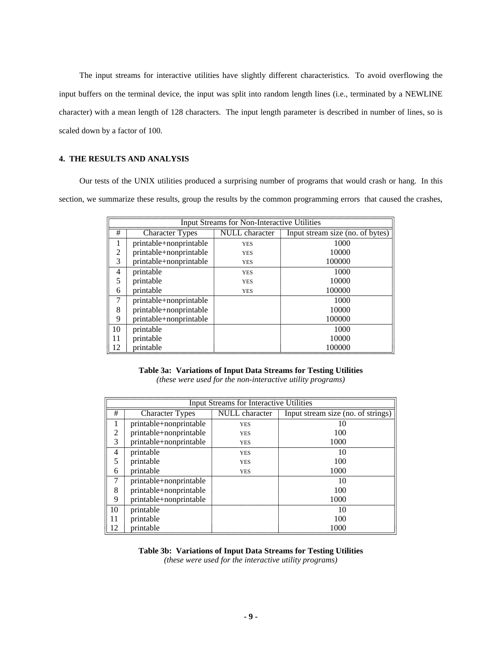The input streams for interactive utilities have slightly different characteristics. To avoid overflowing the input buffers on the terminal device, the input was split into random length lines (i.e., terminated by a NEWLINE character) with a mean length of 128 characters. The input length parameter is described in number of lines, so is scaled down by a factor of 100.

# **4. THE RESULTS AND ANALYSIS**

Our tests of the UNIX utilities produced a surprising number of programs that would crash or hang. In this section, we summarize these results, group the results by the common programming errors that caused the crashes,

| <b>Input Streams for Non-Interactive Utilities</b> |                        |                                  |        |  |  |  |  |
|----------------------------------------------------|------------------------|----------------------------------|--------|--|--|--|--|
| #                                                  | Character Types        | Input stream size (no. of bytes) |        |  |  |  |  |
|                                                    | printable+nonprintable | <b>YES</b>                       | 1000   |  |  |  |  |
| 2                                                  | printable+nonprintable | <b>YES</b>                       | 10000  |  |  |  |  |
| 3                                                  | printable+nonprintable | <b>YES</b>                       | 100000 |  |  |  |  |
| $\overline{4}$                                     | printable              | <b>YES</b>                       | 1000   |  |  |  |  |
| 5                                                  | printable              | <b>YES</b>                       | 10000  |  |  |  |  |
| 6                                                  | printable              | <b>YES</b>                       | 100000 |  |  |  |  |
| 7                                                  | printable+nonprintable |                                  | 1000   |  |  |  |  |
| 8                                                  | printable+nonprintable |                                  | 10000  |  |  |  |  |
| 9                                                  | printable+nonprintable |                                  | 100000 |  |  |  |  |
| 10                                                 | printable              |                                  | 1000   |  |  |  |  |
| 11                                                 | printable              |                                  | 10000  |  |  |  |  |
| 12                                                 | printable              |                                  | 100000 |  |  |  |  |

# **Table 3a: Variations of Input Data Streams for Testing Utilities**

*(these were used for the non-interactive utility programs)*

| <b>Input Streams for Interactive Utilities</b> |                        |                                    |      |  |  |  |  |  |
|------------------------------------------------|------------------------|------------------------------------|------|--|--|--|--|--|
| #                                              | <b>Character Types</b> | Input stream size (no. of strings) |      |  |  |  |  |  |
|                                                | printable+nonprintable | <b>YES</b>                         | 10   |  |  |  |  |  |
| 2                                              | printable+nonprintable | <b>YES</b>                         | 100  |  |  |  |  |  |
| 3                                              | printable+nonprintable | <b>YES</b>                         | 1000 |  |  |  |  |  |
| $\overline{4}$                                 | printable              | <b>YES</b>                         | 10   |  |  |  |  |  |
| 5                                              | printable              | <b>YES</b>                         | 100  |  |  |  |  |  |
| 6                                              | printable              | <b>YES</b>                         | 1000 |  |  |  |  |  |
| 7                                              | printable+nonprintable |                                    | 10   |  |  |  |  |  |
| 8                                              | printable+nonprintable |                                    | 100  |  |  |  |  |  |
| 9                                              | printable+nonprintable |                                    | 1000 |  |  |  |  |  |
| 10                                             | printable              |                                    | 10   |  |  |  |  |  |
| 11                                             | printable              |                                    | 100  |  |  |  |  |  |
| 12                                             | printable              |                                    | 1000 |  |  |  |  |  |

# **Table 3b: Variations of Input Data Streams for Testing Utilities** *(these were used for the interactive utility programs)*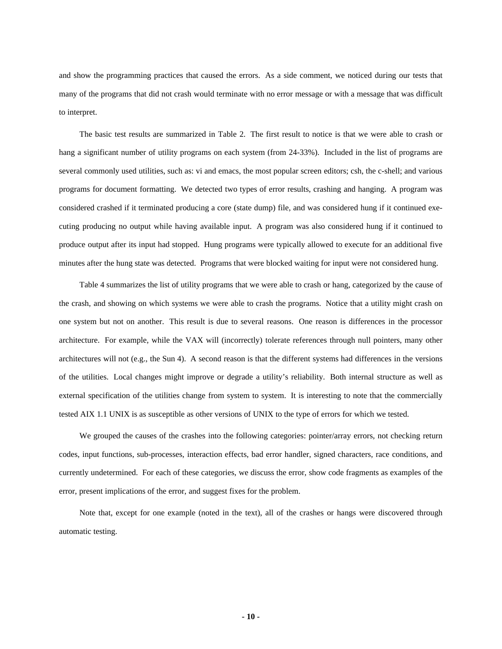and show the programming practices that caused the errors. As a side comment, we noticed during our tests that many of the programs that did not crash would terminate with no error message or with a message that was difficult to interpret.

The basic test results are summarized in Table 2. The first result to notice is that we were able to crash or hang a significant number of utility programs on each system (from 24-33%). Included in the list of programs are several commonly used utilities, such as: vi and emacs, the most popular screen editors; csh, the c-shell; and various programs for document formatting. We detected two types of error results, crashing and hanging. A program was considered crashed if it terminated producing a core (state dump) file, and was considered hung if it continued executing producing no output while having available input. A program was also considered hung if it continued to produce output after its input had stopped. Hung programs were typically allowed to execute for an additional five minutes after the hung state was detected. Programs that were blocked waiting for input were not considered hung.

Table 4 summarizes the list of utility programs that we were able to crash or hang, categorized by the cause of the crash, and showing on which systems we were able to crash the programs. Notice that a utility might crash on one system but not on another. This result is due to several reasons. One reason is differences in the processor architecture. For example, while the VAX will (incorrectly) tolerate references through null pointers, many other architectures will not (e.g., the Sun 4). A second reason is that the different systems had differences in the versions of the utilities. Local changes might improve or degrade a utility's reliability. Both internal structure as well as external specification of the utilities change from system to system. It is interesting to note that the commercially tested AIX 1.1 UNIX is as susceptible as other versions of UNIX to the type of errors for which we tested.

We grouped the causes of the crashes into the following categories: pointer/array errors, not checking return codes, input functions, sub-processes, interaction effects, bad error handler, signed characters, race conditions, and currently undetermined. For each of these categories, we discuss the error, show code fragments as examples of the error, present implications of the error, and suggest fixes for the problem.

Note that, except for one example (noted in the text), all of the crashes or hangs were discovered through automatic testing.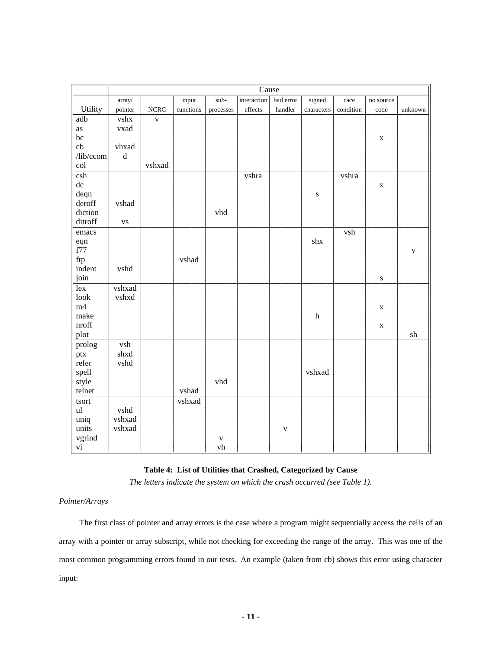|                         |                                               |              |                            |            | Cause       |             |                           |           |             |             |
|-------------------------|-----------------------------------------------|--------------|----------------------------|------------|-------------|-------------|---------------------------|-----------|-------------|-------------|
|                         | array/                                        |              | input                      | sub-       | interaction | bad error   | signed                    | race      | no source   |             |
| Utility                 | pointer                                       | ${\rm NCRC}$ | $\operatorname{functions}$ | processes  | effects     | handler     | characters                | condition | code        | unknown     |
| $\overline{\text{adb}}$ | vshx                                          | $\mathbf{V}$ |                            |            |             |             |                           |           |             |             |
| as                      | vxad                                          |              |                            |            |             |             |                           |           |             |             |
| bc                      |                                               |              |                            |            |             |             |                           |           | $\mathbf X$ |             |
| cb                      | vhxad                                         |              |                            |            |             |             |                           |           |             |             |
| /lib/ccom               | $\mathrm{d}% \left\  \mathbf{G}\right\  ^{2}$ |              |                            |            |             |             |                           |           |             |             |
| col                     |                                               | vshxad       |                            |            |             |             |                           |           |             |             |
| csh                     |                                               |              |                            |            | vshra       |             |                           | vshra     |             |             |
| ${\rm d} {\rm c}$       |                                               |              |                            |            |             |             |                           |           | $\mathbf X$ |             |
| deqn                    |                                               |              |                            |            |             |             | ${\bf S}$                 |           |             |             |
| deroff                  | vshad                                         |              |                            |            |             |             |                           |           |             |             |
| diction                 |                                               |              |                            | vhd        |             |             |                           |           |             |             |
| ditroff                 | ${\bf VS}$                                    |              |                            |            |             |             |                           |           |             |             |
| emacs                   |                                               |              |                            |            |             |             |                           | vsh       |             |             |
| eqn                     |                                               |              |                            |            |             |             | ${\rm shx}$               |           |             |             |
| f77                     |                                               |              |                            |            |             |             |                           |           |             |             |
| ftp                     |                                               |              | vshad                      |            |             |             |                           |           |             | $\mathbf V$ |
| indent                  |                                               |              |                            |            |             |             |                           |           |             |             |
|                         | vshd                                          |              |                            |            |             |             |                           |           |             |             |
| join                    |                                               |              |                            |            |             |             |                           |           | ${\bf S}$   |             |
| $\overline{\text{lex}}$ | vshxad                                        |              |                            |            |             |             |                           |           |             |             |
| look                    | vshxd                                         |              |                            |            |             |             |                           |           |             |             |
| m4                      |                                               |              |                            |            |             |             |                           |           | $\mathbf X$ |             |
| make                    |                                               |              |                            |            |             |             | $\boldsymbol{\textbf{h}}$ |           |             |             |
| nroff                   |                                               |              |                            |            |             |             |                           |           | $\mathbf X$ |             |
| plot                    |                                               |              |                            |            |             |             |                           |           |             | sh          |
| prolog                  | $\overline{vsh}$                              |              |                            |            |             |             |                           |           |             |             |
| ptx                     | shxd                                          |              |                            |            |             |             |                           |           |             |             |
| refer                   | vshd                                          |              |                            |            |             |             |                           |           |             |             |
| spell                   |                                               |              |                            |            |             |             | vshxad                    |           |             |             |
| style                   |                                               |              |                            | vhd        |             |             |                           |           |             |             |
| telnet                  |                                               |              | vshad                      |            |             |             |                           |           |             |             |
| tsort                   |                                               |              | vshxad                     |            |             |             |                           |           |             |             |
| $\mathbf{u}$ l          | vshd                                          |              |                            |            |             |             |                           |           |             |             |
| uniq                    | vshxad                                        |              |                            |            |             |             |                           |           |             |             |
| units                   | vshxad                                        |              |                            |            |             | $\mathbf V$ |                           |           |             |             |
| vgrind                  |                                               |              |                            | V          |             |             |                           |           |             |             |
| vi                      |                                               |              |                            | ${\rm vh}$ |             |             |                           |           |             |             |

# **Table 4: List of Utilities that Crashed, Categorized by Cause**

*The letters indicate the system on which the crash occurred (see Table 1).*

# *Pointer/Arrays*

The first class of pointer and array errors is the case where a program might sequentially access the cells of an array with a pointer or array subscript, while not checking for exceeding the range of the array. This was one of the most common programming errors found in our tests. An example (taken from cb) shows this error using character input: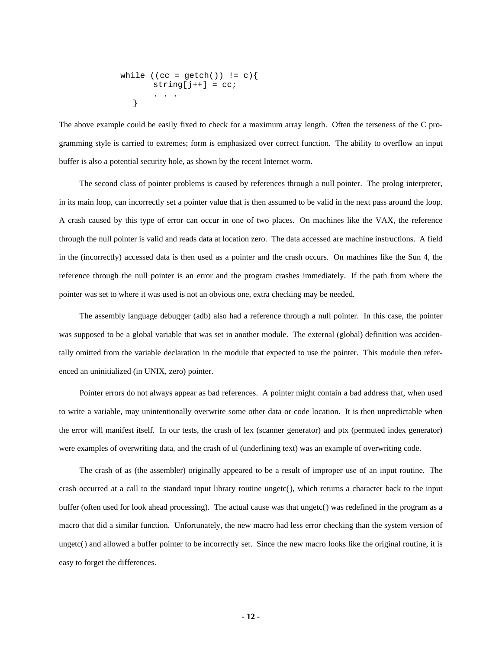$$
\begin{array}{l}\n\text{while } ((cc = \text{getch}()) \text{ != } c) {\text{ suring[j++] = cc};}\\
\text{ ... } \end{array}
$$

The above example could be easily fixed to check for a maximum array length. Often the terseness of the C programming style is carried to extremes; form is emphasized over correct function. The ability to overflow an input buffer is also a potential security hole, as shown by the recent Internet worm.

The second class of pointer problems is caused by references through a null pointer. The prolog interpreter, in its main loop, can incorrectly set a pointer value that is then assumed to be valid in the next pass around the loop. A crash caused by this type of error can occur in one of two places. On machines like the VAX, the reference through the null pointer is valid and reads data at location zero. The data accessed are machine instructions. A field in the (incorrectly) accessed data is then used as a pointer and the crash occurs. On machines like the Sun 4, the reference through the null pointer is an error and the program crashes immediately. If the path from where the pointer was set to where it was used is not an obvious one, extra checking may be needed.

The assembly language debugger (adb) also had a reference through a null pointer. In this case, the pointer was supposed to be a global variable that was set in another module. The external (global) definition was accidentally omitted from the variable declaration in the module that expected to use the pointer. This module then referenced an uninitialized (in UNIX, zero) pointer.

Pointer errors do not always appear as bad references. A pointer might contain a bad address that, when used to write a variable, may unintentionally overwrite some other data or code location. It is then unpredictable when the error will manifest itself. In our tests, the crash of lex (scanner generator) and ptx (permuted index generator) were examples of overwriting data, and the crash of ul (underlining text) was an example of overwriting code.

The crash of as (the assembler) originally appeared to be a result of improper use of an input routine. The crash occurred at a call to the standard input library routine ungetc(), which returns a character back to the input buffer (often used for look ahead processing). The actual cause was that ungetc() was redefined in the program as a macro that did a similar function. Unfortunately, the new macro had less error checking than the system version of ungetc() and allowed a buffer pointer to be incorrectly set. Since the new macro looks like the original routine, it is easy to forget the differences.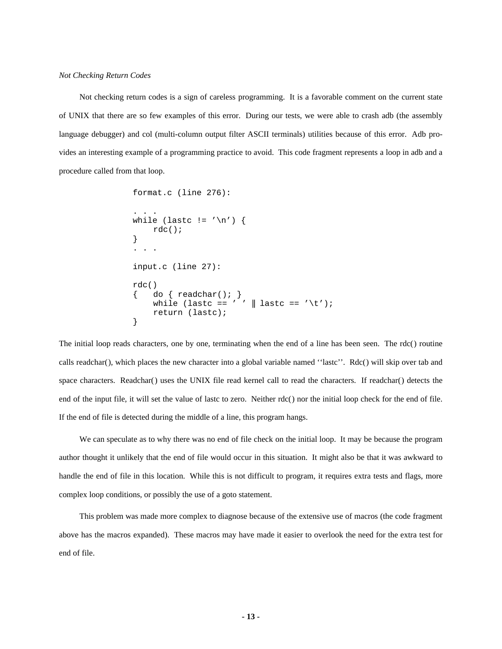Not checking return codes is a sign of careless programming. It is a favorable comment on the current state of UNIX that there are so few examples of this error. During our tests, we were able to crash adb (the assembly language debugger) and col (multi-column output filter ASCII terminals) utilities because of this error. Adb provides an interesting example of a programming practice to avoid. This code fragment represents a loop in adb and a procedure called from that loop.

```
format.c (line 276):
. . .
while (lastc != '\n') {
    rdc();
}
. . .
input.c (line 27):
rdc()
    do \{ readchar(); \}while (lastc == ' ' \parallel lastc == '\t');
    return (lastc);
}
```
The initial loop reads characters, one by one, terminating when the end of a line has been seen. The rdc() routine calls readchar(), which places the new character into a global variable named ''lastc''. Rdc() will skip over tab and space characters. Readchar() uses the UNIX file read kernel call to read the characters. If readchar() detects the end of the input file, it will set the value of lastc to zero. Neither rdc() nor the initial loop check for the end of file. If the end of file is detected during the middle of a line, this program hangs.

We can speculate as to why there was no end of file check on the initial loop. It may be because the program author thought it unlikely that the end of file would occur in this situation. It might also be that it was awkward to handle the end of file in this location. While this is not difficult to program, it requires extra tests and flags, more complex loop conditions, or possibly the use of a goto statement.

This problem was made more complex to diagnose because of the extensive use of macros (the code fragment above has the macros expanded). These macros may have made it easier to overlook the need for the extra test for end of file.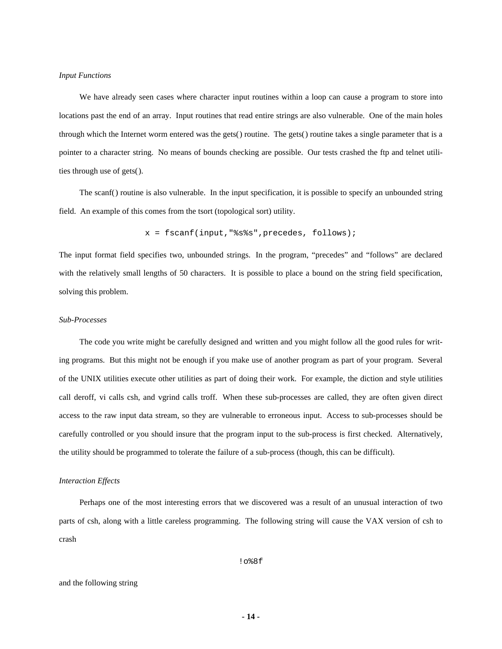#### *Input Functions*

We have already seen cases where character input routines within a loop can cause a program to store into locations past the end of an array. Input routines that read entire strings are also vulnerable. One of the main holes through which the Internet worm entered was the gets() routine. The gets() routine takes a single parameter that is a pointer to a character string. No means of bounds checking are possible. Our tests crashed the ftp and telnet utilities through use of gets().

The scanf() routine is also vulnerable. In the input specification, it is possible to specify an unbounded string field. An example of this comes from the tsort (topological sort) utility.

$$
x = \text{fscanf}(\text{input}, \text{""} \text{""}, \text{precedes}, \text{follows})
$$

The input format field specifies two, unbounded strings. In the program, "precedes" and "follows" are declared with the relatively small lengths of 50 characters. It is possible to place a bound on the string field specification, solving this problem.

#### *Sub-Processes*

The code you write might be carefully designed and written and you might follow all the good rules for writing programs. But this might not be enough if you make use of another program as part of your program. Several of the UNIX utilities execute other utilities as part of doing their work. For example, the diction and style utilities call deroff, vi calls csh, and vgrind calls troff. When these sub-processes are called, they are often given direct access to the raw input data stream, so they are vulnerable to erroneous input. Access to sub-processes should be carefully controlled or you should insure that the program input to the sub-process is first checked. Alternatively, the utility should be programmed to tolerate the failure of a sub-process (though, this can be difficult).

#### *Interaction Effects*

Perhaps one of the most interesting errors that we discovered was a result of an unusual interaction of two parts of csh, along with a little careless programming. The following string will cause the VAX version of csh to crash

!o%8f

#### and the following string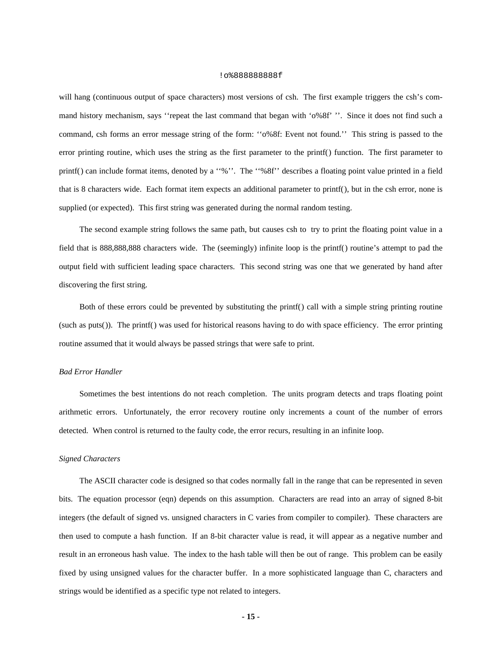#### !o%888888888f

will hang (continuous output of space characters) most versions of csh. The first example triggers the csh's command history mechanism, says ''repeat the last command that began with 'o%8f' ''. Since it does not find such a command, csh forms an error message string of the form: ''o%8f: Event not found.'' This string is passed to the error printing routine, which uses the string as the first parameter to the printf() function. The first parameter to printf() can include format items, denoted by a ''%''. The ''%8f'' describes a floating point value printed in a field that is 8 characters wide. Each format item expects an additional parameter to printf(), but in the csh error, none is supplied (or expected). This first string was generated during the normal random testing.

The second example string follows the same path, but causes csh to try to print the floating point value in a field that is 888,888,888 characters wide. The (seemingly) infinite loop is the printf() routine's attempt to pad the output field with sufficient leading space characters. This second string was one that we generated by hand after discovering the first string.

Both of these errors could be prevented by substituting the printf() call with a simple string printing routine (such as puts()). The printf() was used for historical reasons having to do with space efficiency. The error printing routine assumed that it would always be passed strings that were safe to print.

#### *Bad Error Handler*

Sometimes the best intentions do not reach completion. The units program detects and traps floating point arithmetic errors. Unfortunately, the error recovery routine only increments a count of the number of errors detected. When control is returned to the faulty code, the error recurs, resulting in an infinite loop.

# *Signed Characters*

The ASCII character code is designed so that codes normally fall in the range that can be represented in seven bits. The equation processor (eqn) depends on this assumption. Characters are read into an array of signed 8-bit integers (the default of signed vs. unsigned characters in C varies from compiler to compiler). These characters are then used to compute a hash function. If an 8-bit character value is read, it will appear as a negative number and result in an erroneous hash value. The index to the hash table will then be out of range. This problem can be easily fixed by using unsigned values for the character buffer. In a more sophisticated language than C, characters and strings would be identified as a specific type not related to integers.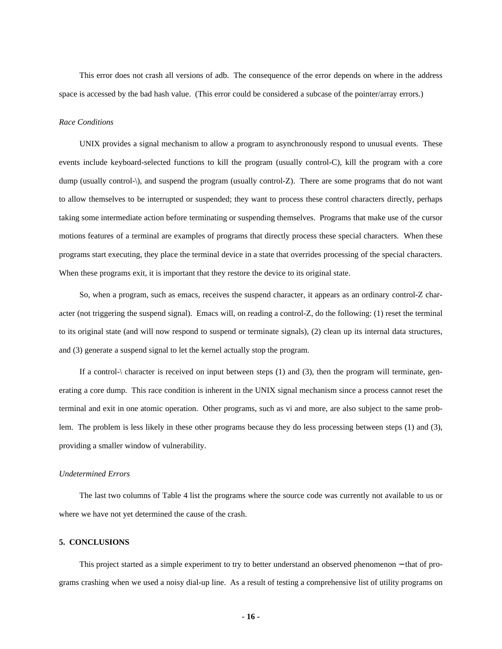This error does not crash all versions of adb. The consequence of the error depends on where in the address space is accessed by the bad hash value. (This error could be considered a subcase of the pointer/array errors.)

### *Race Conditions*

UNIX provides a signal mechanism to allow a program to asynchronously respond to unusual events. These events include keyboard-selected functions to kill the program (usually control-C), kill the program with a core dump (usually control- $\setminus$ ), and suspend the program (usually control-Z). There are some programs that do not want to allow themselves to be interrupted or suspended; they want to process these control characters directly, perhaps taking some intermediate action before terminating or suspending themselves. Programs that make use of the cursor motions features of a terminal are examples of programs that directly process these special characters. When these programs start executing, they place the terminal device in a state that overrides processing of the special characters. When these programs exit, it is important that they restore the device to its original state.

So, when a program, such as emacs, receives the suspend character, it appears as an ordinary control-Z character (not triggering the suspend signal). Emacs will, on reading a control-Z, do the following: (1) reset the terminal to its original state (and will now respond to suspend or terminate signals), (2) clean up its internal data structures, and (3) generate a suspend signal to let the kernel actually stop the program.

If a control- $\char`$  character is received on input between steps (1) and (3), then the program will terminate, generating a core dump. This race condition is inherent in the UNIX signal mechanism since a process cannot reset the terminal and exit in one atomic operation. Other programs, such as vi and more, are also subject to the same problem. The problem is less likely in these other programs because they do less processing between steps (1) and (3), providing a smaller window of vulnerability.

# *Undetermined Errors*

The last two columns of Table 4 list the programs where the source code was currently not available to us or where we have not yet determined the cause of the crash.

#### **5. CONCLUSIONS**

This project started as a simple experiment to try to better understand an observed phenomenon − that of programs crashing when we used a noisy dial-up line. As a result of testing a comprehensive list of utility programs on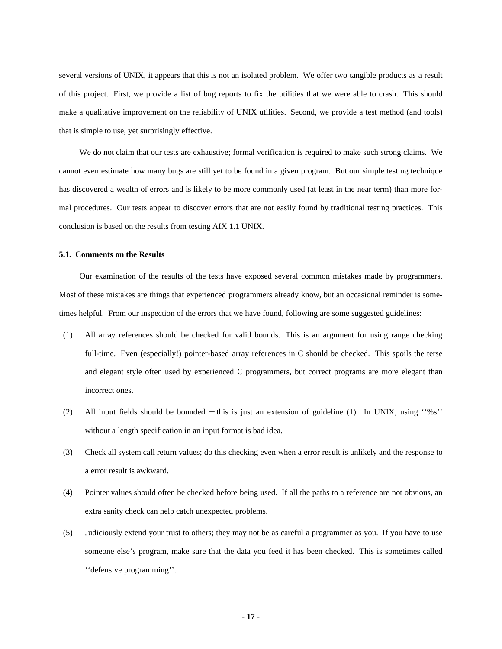several versions of UNIX, it appears that this is not an isolated problem. We offer two tangible products as a result of this project. First, we provide a list of bug reports to fix the utilities that we were able to crash. This should make a qualitative improvement on the reliability of UNIX utilities. Second, we provide a test method (and tools) that is simple to use, yet surprisingly effective.

We do not claim that our tests are exhaustive; formal verification is required to make such strong claims. We cannot even estimate how many bugs are still yet to be found in a given program. But our simple testing technique has discovered a wealth of errors and is likely to be more commonly used (at least in the near term) than more formal procedures. Our tests appear to discover errors that are not easily found by traditional testing practices. This conclusion is based on the results from testing AIX 1.1 UNIX.

#### **5.1. Comments on the Results**

Our examination of the results of the tests have exposed several common mistakes made by programmers. Most of these mistakes are things that experienced programmers already know, but an occasional reminder is sometimes helpful. From our inspection of the errors that we have found, following are some suggested guidelines:

- (1) All array references should be checked for valid bounds. This is an argument for using range checking full-time. Even (especially!) pointer-based array references in C should be checked. This spoils the terse and elegant style often used by experienced C programmers, but correct programs are more elegant than incorrect ones.
- (2) All input fields should be bounded − this is just an extension of guideline (1). In UNIX, using ''%s'' without a length specification in an input format is bad idea.
- (3) Check all system call return values; do this checking even when a error result is unlikely and the response to a error result is awkward.
- (4) Pointer values should often be checked before being used. If all the paths to a reference are not obvious, an extra sanity check can help catch unexpected problems.
- (5) Judiciously extend your trust to others; they may not be as careful a programmer as you. If you have to use someone else's program, make sure that the data you feed it has been checked. This is sometimes called ''defensive programming''.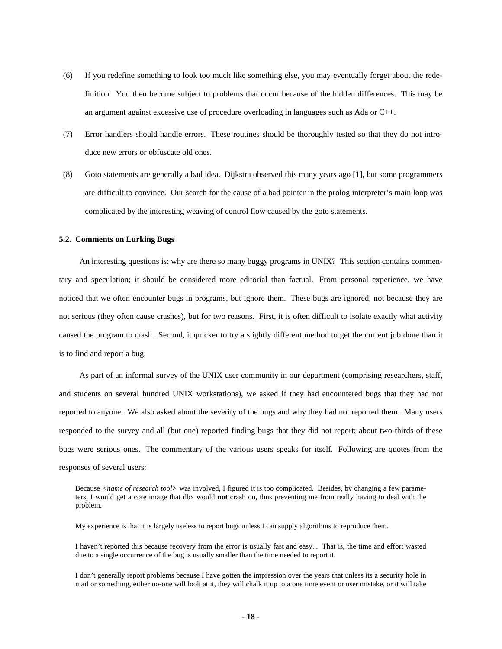- (6) If you redefine something to look too much like something else, you may eventually forget about the redefinition. You then become subject to problems that occur because of the hidden differences. This may be an argument against excessive use of procedure overloading in languages such as Ada or C++.
- (7) Error handlers should handle errors. These routines should be thoroughly tested so that they do not introduce new errors or obfuscate old ones.
- (8) Goto statements are generally a bad idea. Dijkstra observed this many years ago [1], but some programmers are difficult to convince. Our search for the cause of a bad pointer in the prolog interpreter's main loop was complicated by the interesting weaving of control flow caused by the goto statements.

#### **5.2. Comments on Lurking Bugs**

An interesting questions is: why are there so many buggy programs in UNIX? This section contains commentary and speculation; it should be considered more editorial than factual. From personal experience, we have noticed that we often encounter bugs in programs, but ignore them. These bugs are ignored, not because they are not serious (they often cause crashes), but for two reasons. First, it is often difficult to isolate exactly what activity caused the program to crash. Second, it quicker to try a slightly different method to get the current job done than it is to find and report a bug.

As part of an informal survey of the UNIX user community in our department (comprising researchers, staff, and students on several hundred UNIX workstations), we asked if they had encountered bugs that they had not reported to anyone. We also asked about the severity of the bugs and why they had not reported them. Many users responded to the survey and all (but one) reported finding bugs that they did not report; about two-thirds of these bugs were serious ones. The commentary of the various users speaks for itself. Following are quotes from the responses of several users:

Because *<name of research tool>* was involved, I figured it is too complicated. Besides, by changing a few parameters, I would get a core image that dbx would **not** crash on, thus preventing me from really having to deal with the problem.

My experience is that it is largely useless to report bugs unless I can supply algorithms to reproduce them.

I haven't reported this because recovery from the error is usually fast and easy... That is, the time and effort wasted due to a single occurrence of the bug is usually smaller than the time needed to report it.

I don't generally report problems because I have gotten the impression over the years that unless its a security hole in mail or something, either no-one will look at it, they will chalk it up to a one time event or user mistake, or it will take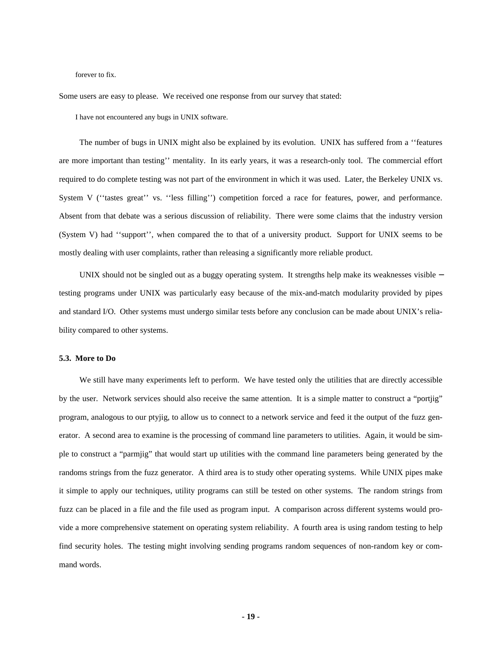#### forever to fix.

Some users are easy to please. We received one response from our survey that stated:

I have not encountered any bugs in UNIX software.

The number of bugs in UNIX might also be explained by its evolution. UNIX has suffered from a ''features are more important than testing'' mentality. In its early years, it was a research-only tool. The commercial effort required to do complete testing was not part of the environment in which it was used. Later, the Berkeley UNIX vs. System V (''tastes great'' vs. ''less filling'') competition forced a race for features, power, and performance. Absent from that debate was a serious discussion of reliability. There were some claims that the industry version (System V) had ''support'', when compared the to that of a university product. Support for UNIX seems to be mostly dealing with user complaints, rather than releasing a significantly more reliable product.

UNIX should not be singled out as a buggy operating system. It strengths help make its weaknesses visible − testing programs under UNIX was particularly easy because of the mix-and-match modularity provided by pipes and standard I/O. Other systems must undergo similar tests before any conclusion can be made about UNIX's reliability compared to other systems.

#### **5.3. More to Do**

We still have many experiments left to perform. We have tested only the utilities that are directly accessible by the user. Network services should also receive the same attention. It is a simple matter to construct a "portjig" program, analogous to our ptyjig, to allow us to connect to a network service and feed it the output of the fuzz generator. A second area to examine is the processing of command line parameters to utilities. Again, it would be simple to construct a "parmjig" that would start up utilities with the command line parameters being generated by the randoms strings from the fuzz generator. A third area is to study other operating systems. While UNIX pipes make it simple to apply our techniques, utility programs can still be tested on other systems. The random strings from fuzz can be placed in a file and the file used as program input. A comparison across different systems would provide a more comprehensive statement on operating system reliability. A fourth area is using random testing to help find security holes. The testing might involving sending programs random sequences of non-random key or command words.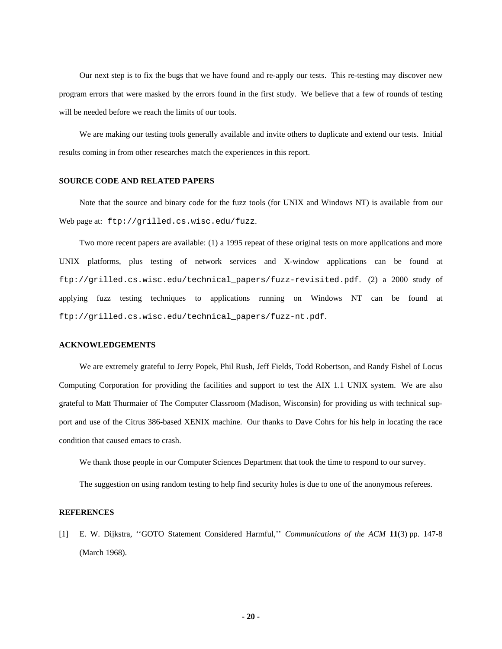Our next step is to fix the bugs that we have found and re-apply our tests. This re-testing may discover new program errors that were masked by the errors found in the first study. We believe that a few of rounds of testing will be needed before we reach the limits of our tools.

We are making our testing tools generally available and invite others to duplicate and extend our tests. Initial results coming in from other researches match the experiences in this report.

# **SOURCE CODE AND RELATED PAPERS**

Note that the source and binary code for the fuzz tools (for UNIX and Windows NT) is available from our Web page at: ftp://grilled.cs.wisc.edu/fuzz.

Two more recent papers are available: (1) a 1995 repeat of these original tests on more applications and more UNIX platforms, plus testing of network services and X-window applications can be found at ftp://grilled.cs.wisc.edu/technical\_papers/fuzz-revisited.pdf. (2) a 2000 study of applying fuzz testing techniques to applications running on Windows NT can be found at ftp://grilled.cs.wisc.edu/technical\_papers/fuzz-nt.pdf.

# **ACKNOWLEDGEMENTS**

We are extremely grateful to Jerry Popek, Phil Rush, Jeff Fields, Todd Robertson, and Randy Fishel of Locus Computing Corporation for providing the facilities and support to test the AIX 1.1 UNIX system. We are also grateful to Matt Thurmaier of The Computer Classroom (Madison, Wisconsin) for providing us with technical support and use of the Citrus 386-based XENIX machine. Our thanks to Dave Cohrs for his help in locating the race condition that caused emacs to crash.

We thank those people in our Computer Sciences Department that took the time to respond to our survey.

The suggestion on using random testing to help find security holes is due to one of the anonymous referees.

#### **REFERENCES**

[1] E. W. Dijkstra, ''GOTO Statement Considered Harmful,'' *Communications of the ACM* **11**(3) pp. 147-8 (March 1968).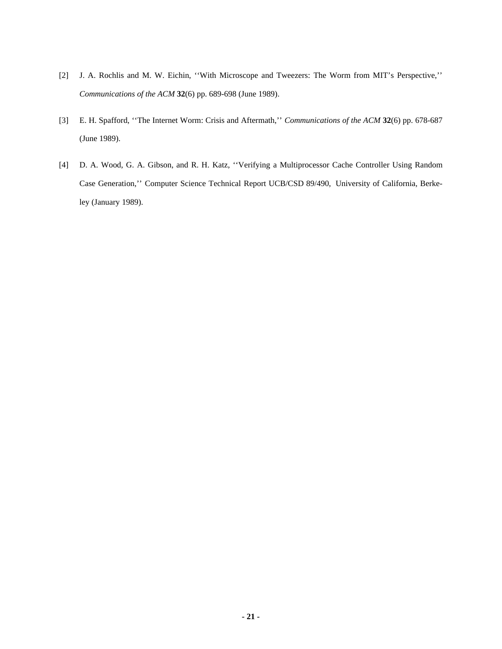- [2] J. A. Rochlis and M. W. Eichin, ''With Microscope and Tweezers: The Worm from MIT's Perspective,'' *Communications of the ACM* **32**(6) pp. 689-698 (June 1989).
- [3] E. H. Spafford, ''The Internet Worm: Crisis and Aftermath,'' *Communications of the ACM* **32**(6) pp. 678-687 (June 1989).
- [4] D. A. Wood, G. A. Gibson, and R. H. Katz, ''Verifying a Multiprocessor Cache Controller Using Random Case Generation,'' Computer Science Technical Report UCB/CSD 89/490, University of California, Berkeley (January 1989).